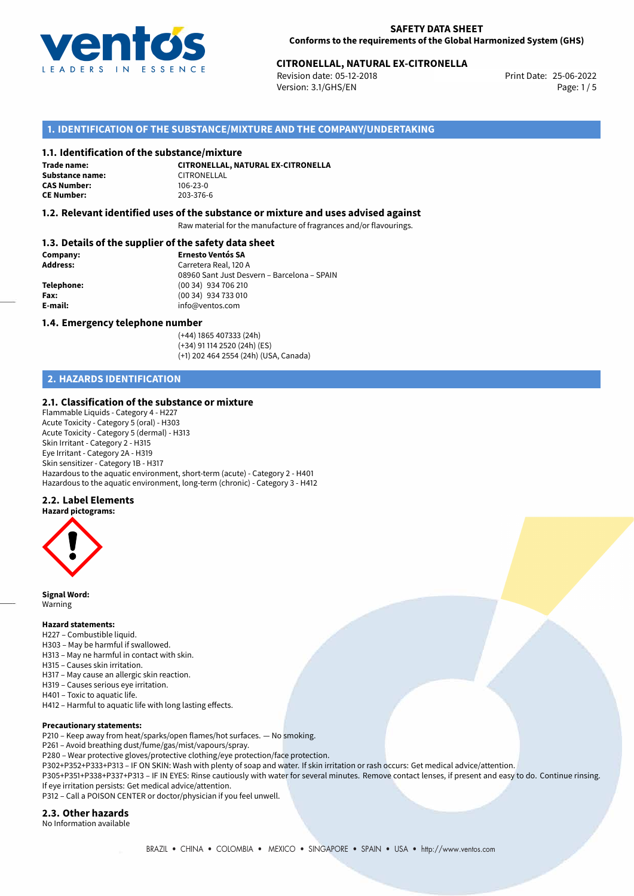

# 25-06-2022 **CITRONELLAL, NATURAL EX-CITRONELLA**

Revision date: 05-12-2018 Version: 3.1/GHS/EN Page: 1 / 5

## **1. IDENTIFICATION OF THE SUBSTANCE/MIXTURE AND THE COMPANY/UNDERTAKING**

#### **1.1. Identification of the substance/mixture**

**Trade name: Substance name:** CITRONELLAL<br> **CAS Number:** 106-23-0 **CAS Number: CE Number:** 203-376-6

**CITRONELLAL, NATURAL EX-CITRONELLA**

## **1.2. Relevant identified uses of the substance or mixture and uses advised against**

Raw material for the manufacture of fragrances and/or flavourings.

## **1.3. Details of the supplier of the safety data sheet**

| Company:        | <b>Ernesto Ventós SA</b>                    |  |
|-----------------|---------------------------------------------|--|
| <b>Address:</b> | Carretera Real, 120 A                       |  |
|                 | 08960 Sant Just Desvern - Barcelona - SPAIN |  |
| Telephone:      | $(0034)$ 934 706 210                        |  |
| Fax:            | (00 34) 934 733 010                         |  |
| E-mail:         | info@ventos.com                             |  |
|                 |                                             |  |

#### **1.4. Emergency telephone number**

(+44) 1865 407333 (24h) (+34) 91 114 2520 (24h) (ES) (+1) 202 464 2554 (24h) (USA, Canada)

## **2. HAZARDS IDENTIFICATION**

#### **2.1. Classification of the substance or mixture**

Flammable Liquids - Category 4 - H227 Acute Toxicity - Category 5 (oral) - H303 Acute Toxicity - Category 5 (dermal) - H313 Skin Irritant - Category 2 - H315 Eye Irritant - Category 2A - H319 Skin sensitizer - Category 1B - H317 Hazardous to the aquatic environment, short-term (acute) - Category 2 - H401 Hazardous to the aquatic environment, long-term (chronic) - Category 3 - H412

## **2.2. Label Elements**

**Hazard pictograms:**



**Signal Word:** Warning

#### **Hazard statements:**

H227 – Combustible liquid.

- H303 May be harmful if swallowed.
- H313 May ne harmful in contact with skin.
- H315 Causes skin irritation.
- H317 May cause an allergic skin reaction.
- H319 Causes serious eye irritation. H401 – Toxic to aquatic life.
- H412 Harmful to aquatic life with long lasting effects.

#### **Precautionary statements:**

P210 – Keep away from heat/sparks/open flames/hot surfaces. — No smoking.

P261 – Avoid breathing dust/fume/gas/mist/vapours/spray.

- P280 Wear protective gloves/protective clothing/eye protection/face protection.
- P302+P352+P333+P313 IF ON SKIN: Wash with plenty of soap and water. If skin irritation or rash occurs: Get medical advice/attention.

P305+P351+P338+P337+P313 – IF IN EYES: Rinse cautiously with water for several minutes. Remove contact lenses, if present and easy to do. Continue rinsing. If eye irritation persists: Get medical advice/attention.

P312 – Call a POISON CENTER or doctor/physician if you feel unwell.

## **2.3. Other hazards**

No Information available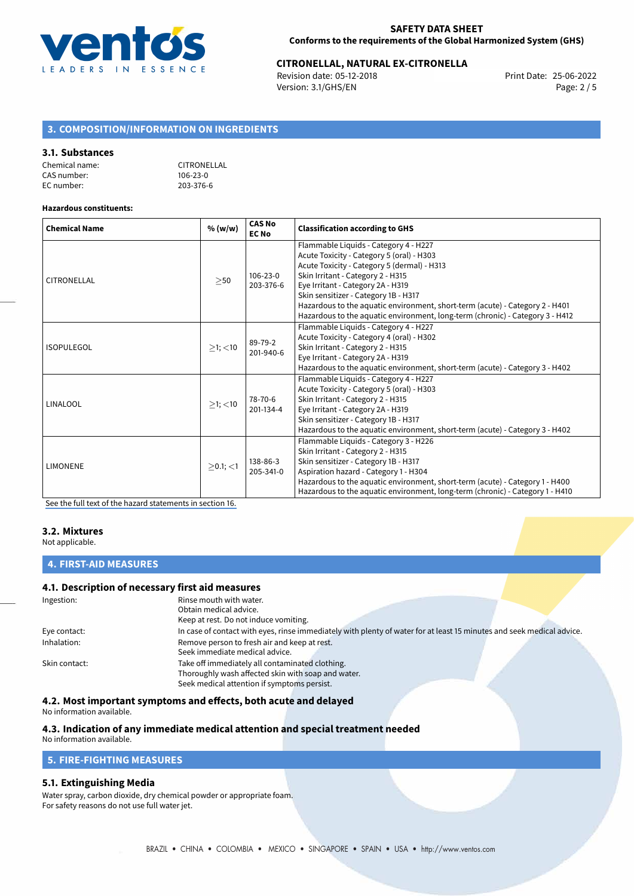

# 25-06-2022 **CITRONELLAL, NATURAL EX-CITRONELLA**

Revision date: 05-12-2018 Version: 3.1/GHS/EN Page: 2 / 5

# **3. COMPOSITION/INFORMATION ON INGREDIENTS**

#### **3.1. Substances**

| Chemical name: | CITRONELLAL    |
|----------------|----------------|
| CAS number:    | $106 - 23 - 0$ |
| EC number:     | 203-376-6      |

#### **Hazardous constituents:**

| <b>Chemical Name</b> | % (w/w)       | <b>CAS No</b><br><b>EC No</b> | <b>Classification according to GHS</b>                                                                                                                                                                                                                                                                                                                                                                               |  |
|----------------------|---------------|-------------------------------|----------------------------------------------------------------------------------------------------------------------------------------------------------------------------------------------------------------------------------------------------------------------------------------------------------------------------------------------------------------------------------------------------------------------|--|
| CITRONELLAL          | $>$ 50        | 106-23-0<br>203-376-6         | Flammable Liquids - Category 4 - H227<br>Acute Toxicity - Category 5 (oral) - H303<br>Acute Toxicity - Category 5 (dermal) - H313<br>Skin Irritant - Category 2 - H315<br>Eye Irritant - Category 2A - H319<br>Skin sensitizer - Category 1B - H317<br>Hazardous to the aquatic environment, short-term (acute) - Category 2 - H401<br>Hazardous to the aquatic environment, long-term (chronic) - Category 3 - H412 |  |
| <b>ISOPULEGOL</b>    | $>1$ ; $<$ 10 | 89-79-2<br>201-940-6          | Flammable Liquids - Category 4 - H227<br>Acute Toxicity - Category 4 (oral) - H302<br>Skin Irritant - Category 2 - H315<br>Eye Irritant - Category 2A - H319<br>Hazardous to the aquatic environment, short-term (acute) - Category 3 - H402                                                                                                                                                                         |  |
| LINALOOL             | $>1$ ; $<$ 10 | 78-70-6<br>201-134-4          | Flammable Liquids - Category 4 - H227<br>Acute Toxicity - Category 5 (oral) - H303<br>Skin Irritant - Category 2 - H315<br>Eye Irritant - Category 2A - H319<br>Skin sensitizer - Category 1B - H317<br>Hazardous to the aquatic environment, short-term (acute) - Category 3 - H402                                                                                                                                 |  |
| <b>LIMONENE</b>      | $>0.1$ ; <1   | 138-86-3<br>205-341-0         | Flammable Liquids - Category 3 - H226<br>Skin Irritant - Category 2 - H315<br>Skin sensitizer - Category 1B - H317<br>Aspiration hazard - Category 1 - H304<br>Hazardous to the aquatic environment, short-term (acute) - Category 1 - H400<br>Hazardous to the aquatic environment, long-term (chronic) - Category 1 - H410                                                                                         |  |

[See the full text of the hazard statements in section 16.](#page-4-0)

## **3.2. Mixtures**

Not applicable.

# **4. FIRST-AID MEASURES**

### **4.1. Description of necessary first aid measures**

| Ingestion:    | Rinse mouth with water.<br>Obtain medical advice.                                                                     |
|---------------|-----------------------------------------------------------------------------------------------------------------------|
|               | Keep at rest. Do not induce vomiting.                                                                                 |
| Eye contact:  | In case of contact with eyes, rinse immediately with plenty of water for at least 15 minutes and seek medical advice. |
| Inhalation:   | Remove person to fresh air and keep at rest.<br>Seek immediate medical advice.                                        |
| Skin contact: | Take off immediately all contaminated clothing.                                                                       |
|               |                                                                                                                       |
|               | Thoroughly wash affected skin with soap and water.                                                                    |
|               | Seek medical attention if symptoms persist.                                                                           |

### **4.2. Most important symptoms and effects, both acute and delayed**

No information available.

#### **4.3. Indication of any immediate medical attention and special treatment needed** No information available.

**5. FIRE-FIGHTING MEASURES**

## **5.1. Extinguishing Media**

Water spray, carbon dioxide, dry chemical powder or appropriate foam. For safety reasons do not use full water jet.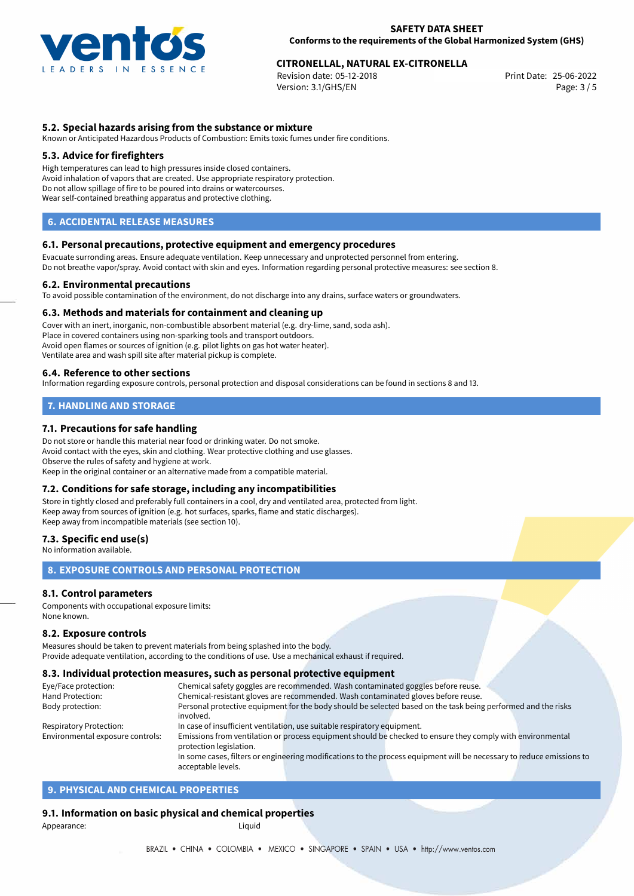

# 25-06-2022 **CITRONELLAL, NATURAL EX-CITRONELLA**

Revision date: 05-12-2018 Version: 3.1/GHS/EN Page: 3 / 5

## **5.2. Special hazards arising from the substance or mixture**

Known or Anticipated Hazardous Products of Combustion: Emits toxic fumes under fire conditions.

### **5.3. Advice for firefighters**

High temperatures can lead to high pressures inside closed containers. Avoid inhalation of vapors that are created. Use appropriate respiratory protection. Do not allow spillage of fire to be poured into drains or watercourses. Wear self-contained breathing apparatus and protective clothing.

## **6. ACCIDENTAL RELEASE MEASURES**

#### **6.1. Personal precautions, protective equipment and emergency procedures**

Evacuate surronding areas. Ensure adequate ventilation. Keep unnecessary and unprotected personnel from entering. Do not breathe vapor/spray. Avoid contact with skin and eyes. Information regarding personal protective measures: see section 8.

#### **6.2. Environmental precautions**

To avoid possible contamination of the environment, do not discharge into any drains, surface waters or groundwaters.

#### **6.3. Methods and materials for containment and cleaning up**

Cover with an inert, inorganic, non-combustible absorbent material (e.g. dry-lime, sand, soda ash). Place in covered containers using non-sparking tools and transport outdoors. Avoid open flames or sources of ignition (e.g. pilot lights on gas hot water heater). Ventilate area and wash spill site after material pickup is complete.

#### **6.4. Reference to other sections**

Information regarding exposure controls, personal protection and disposal considerations can be found in sections 8 and 13.

# **7. HANDLING AND STORAGE**

## **7.1. Precautions for safe handling**

Do not store or handle this material near food or drinking water. Do not smoke. Avoid contact with the eyes, skin and clothing. Wear protective clothing and use glasses. Observe the rules of safety and hygiene at work. Keep in the original container or an alternative made from a compatible material.

## **7.2. Conditions for safe storage, including any incompatibilities**

Store in tightly closed and preferably full containers in a cool, dry and ventilated area, protected from light. Keep away from sources of ignition (e.g. hot surfaces, sparks, flame and static discharges). Keep away from incompatible materials (see section 10).

## **7.3. Specific end use(s)**

No information available.

## **8. EXPOSURE CONTROLS AND PERSONAL PROTECTION**

## **8.1. Control parameters**

Components with occupational exposure limits: None known.

#### **8.2. Exposure controls**

Measures should be taken to prevent materials from being splashed into the body. Provide adequate ventilation, according to the conditions of use. Use a mechanical exhaust if required.

#### **8.3. Individual protection measures, such as personal protective equipment**

acceptable levels.

| Eye/Face protection:             | Chemical safety goggles are recommended. Wash contaminated goggles before reuse.                                      |  |  |  |  |
|----------------------------------|-----------------------------------------------------------------------------------------------------------------------|--|--|--|--|
| Hand Protection:                 | Chemical-resistant gloves are recommended. Wash contaminated gloves before reuse.                                     |  |  |  |  |
| Body protection:                 | Personal protective equipment for the body should be selected based on the task being performed and the risks         |  |  |  |  |
|                                  | involved.                                                                                                             |  |  |  |  |
| <b>Respiratory Protection:</b>   | In case of insufficient ventilation, use suitable respiratory equipment.                                              |  |  |  |  |
| Environmental exposure controls: | Emissions from ventilation or process equipment should be checked to ensure they comply with environmental            |  |  |  |  |
|                                  | protection legislation.                                                                                               |  |  |  |  |
|                                  | In some cases, filters or engineering modifications to the process equipment will be necessary to reduce emissions to |  |  |  |  |

# **9. PHYSICAL AND CHEMICAL PROPERTIES**

## **9.1. Information on basic physical and chemical properties**

Appearance: Liquid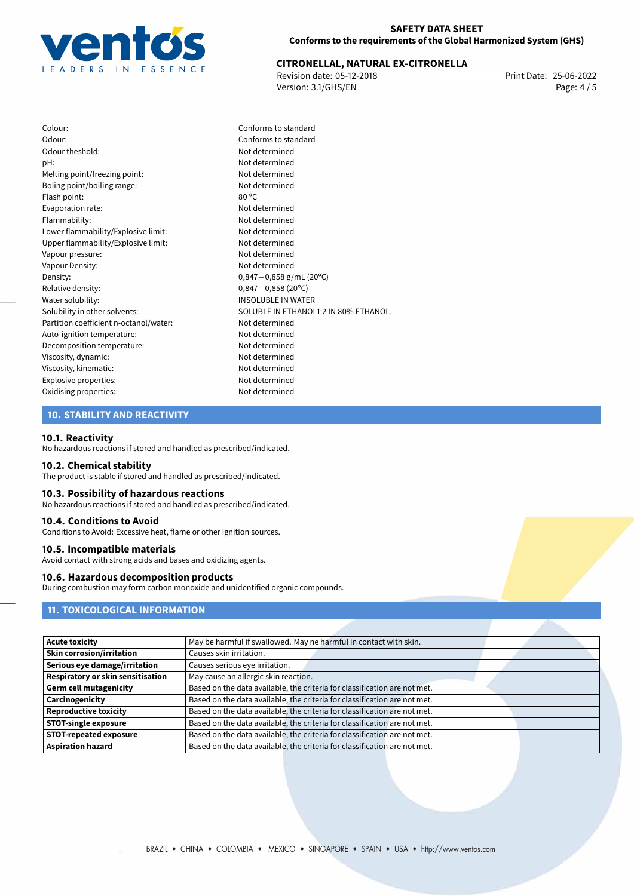

# 25-06-2022 **CITRONELLAL, NATURAL EX-CITRONELLA**

Revision date: 05-12-2018 Version: 3.1/GHS/EN Page: 4 / 5

Colour: Conforms to standard Odour: Conforms to standard Odour theshold: Not determined pH: Not determined Melting point/freezing point: Not determined Boling point/boiling range: Not determined Flash point: 80 °C Evaporation rate: Not determined Flammability: Not determined Lower flammability/Explosive limit: Not determined Upper flammability/Explosive limit: Not determined Vapour pressure: Not determined Vapour Density: Not determined Density: 0,847−0,858 g/mL (20°C)<br>Relative density: 0,847−0,858 (20°C) Relative density: 0,847−0,858 (20°C)<br>Water solubility: 0,847−0,858 (20°C) Partition coefficient n-octanol/water: Not determined Auto-ignition temperature: Not determined Decomposition temperature: Not determined Viscosity, dynamic: Not determined Viscosity, kinematic: Not determined Explosive properties: Not determined Oxidising properties: Not determined

**INSOLUBLE IN WATER** Solubility in other solvents: SOLUBLE IN ETHANOL1:2 IN 80% ETHANOL.

## **10. STABILITY AND REACTIVITY**

#### **10.1. Reactivity**

No hazardous reactions if stored and handled as prescribed/indicated.

#### **10.2. Chemical stability**

The product is stable if stored and handled as prescribed/indicated.

### **10.3. Possibility of hazardous reactions**

No hazardous reactions if stored and handled as prescribed/indicated.

#### **10.4. Conditions to Avoid**

Conditions to Avoid: Excessive heat, flame or other ignition sources.

#### **10.5. Incompatible materials**

Avoid contact with strong acids and bases and oxidizing agents.

## **10.6. Hazardous decomposition products**

During combustion may form carbon monoxide and unidentified organic compounds.

# **11. TOXICOLOGICAL INFORMATION**

| <b>Acute toxicity</b>             | May be harmful if swallowed. May ne harmful in contact with skin.         |
|-----------------------------------|---------------------------------------------------------------------------|
| <b>Skin corrosion/irritation</b>  | Causes skin irritation.                                                   |
| Serious eye damage/irritation     | Causes serious eye irritation.                                            |
| Respiratory or skin sensitisation | May cause an allergic skin reaction.                                      |
| <b>Germ cell mutagenicity</b>     | Based on the data available, the criteria for classification are not met. |
| Carcinogenicity                   | Based on the data available, the criteria for classification are not met. |
| <b>Reproductive toxicity</b>      | Based on the data available, the criteria for classification are not met. |
| <b>STOT-single exposure</b>       | Based on the data available, the criteria for classification are not met. |
| <b>STOT-repeated exposure</b>     | Based on the data available, the criteria for classification are not met. |
| <b>Aspiration hazard</b>          | Based on the data available, the criteria for classification are not met. |
|                                   |                                                                           |